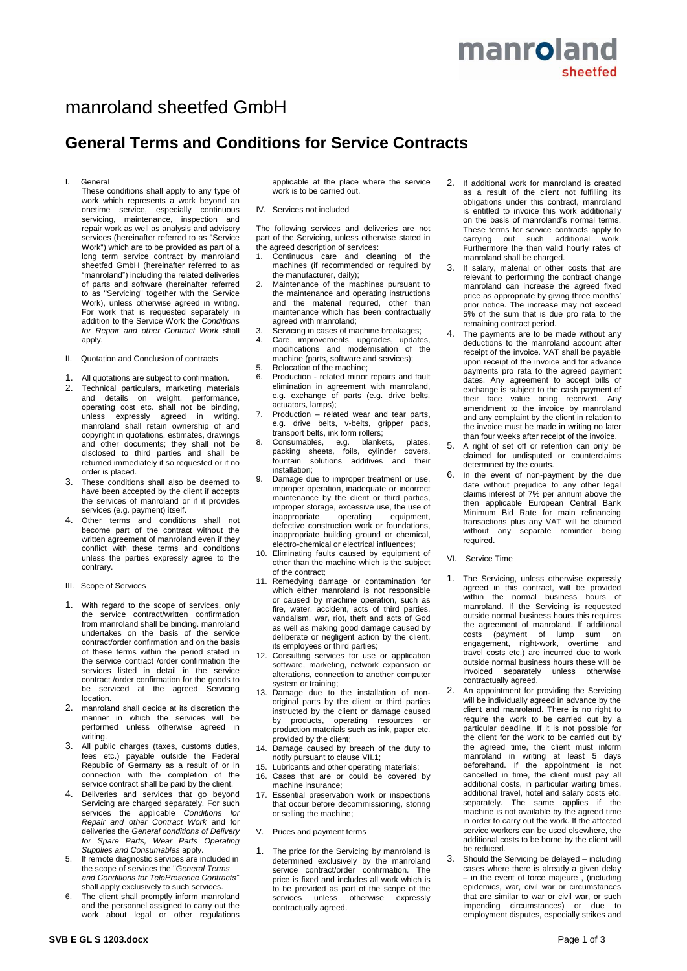# manroland sheetfed GmbH

## **General Terms and Conditions for Service Contracts**

I. General

These conditions shall apply to any type of work which represents a work beyond an onetime service, especially continuous servicing, maintenance, inspection and repair work as well as analysis and advisory services (hereinafter referred to as "Service Work") which are to be provided as part of a long term service contract by manroland sheetfed GmbH (hereinafter referred to as "manroland") including the related deliveries of parts and software (hereinafter referred to as "Servicing" together with the Service Work), unless otherwise agreed in writing. For work that is requested separately in addition to the Service Work the *Conditions for Repair and other Contract Work* shall apply.

- II. Quotation and Conclusion of contracts
- 1. All quotations are subject to confirmation.
- 2. Technical particulars, marketing materials and details on weight, performance, operating cost etc. shall not be binding, unless expressly agreed in writing. manroland shall retain ownership of and copyright in quotations, estimates, drawings and other documents; they shall not be disclosed to third parties and shall be returned immediately if so requested or if no order is placed.
- 3. These conditions shall also be deemed to have been accepted by the client if accepts the services of manroland or if it provides services (e.g. payment) itself.
- 4. Other terms and conditions shall not become part of the contract without the written agreement of manroland even if they conflict with these terms and conditions unless the parties expressly agree to the contrary.
- III. Scope of Services
- 1. With regard to the scope of services, only the service contract/written confirmation from manroland shall be binding. manroland undertakes on the basis of the service contract/order confirmation and on the basis of these terms within the period stated in the service contract /order confirmation the services listed in detail in the service contract /order confirmation for the goods to be serviced at the agreed Servicing location.
- 2. manroland shall decide at its discretion the manner in which the services will be performed unless otherwise agreed in writing.
- 3. All public charges (taxes, customs duties, fees etc.) payable outside the Federal Republic of Germany as a result of or in connection with the completion of the service contract shall be paid by the client.
- 4. Deliveries and services that go beyond Servicing are charged separately. For such services the applicable *Conditions for Repair and other Contract Work* and for deliveries the *General conditions of Delivery for Spare Parts, Wear Parts Operating Supplies and Consumables* apply.
- If remote diagnostic services are included in the scope of services the "*General Terms and Conditions for TelePresence Contracts"*  shall apply exclusively to such services.
- The client shall promptly inform manroland and the personnel assigned to carry out the work about legal or other regulations

applicable at the place where the service work is to be carried out.

IV. Services not included

The following services and deliveries are not part of the Servicing, unless otherwise stated in the agreed description of services:

- 1. Continuous care and cleaning of the machines (if recommended or required by the manufacturer, daily);
- 2. Maintenance of the machines pursuant to the maintenance and operating instructions and the material required, other than maintenance which has been contractually agreed with manroland;
- 3. Servicing in cases of machine breakages;
- 4. Care, improvements, upgrades, updates, modifications and modernisation of the machine (parts, software and services);
- 5. Relocation of the machine;<br>6. Production related minor 6. Production - related minor repairs and fault elimination in agreement with manroland, e.g. exchange of parts (e.g. drive belts, actuators, lamps);
- 7. Production related wear and tear parts, e.g. drive belts, v-belts, gripper pads, transport belts, ink form rollers;
- 8. Consumables, e.g. blankets, plates, packing sheets, foils, cylinder covers, fountain solutions additives and their installation;
- 9. Damage due to improper treatment or use, improper operation, inadequate or incorrect maintenance by the client or third parties, improper storage, excessive use, the use of inappropriate operating equipment, defective construction work or foundations, inappropriate building ground or chemical, electro-chemical or electrical influences;
- 10. Eliminating faults caused by equipment of other than the machine which is the subject of the contract;
- 11. Remedying damage or contamination for which either manroland is not responsible or caused by machine operation, such as fire, water, accident, acts of third parties, vandalism, war, riot, theft and acts of God as well as making good damage caused by deliberate or negligent action by the client, its employees or third parties;
- 12. Consulting services for use or application software, marketing, network expansion or alterations, connection to another computer system or training;
- 13. Damage due to the installation of nonoriginal parts by the client or third parties instructed by the client or damage caused by products, operating resources or production materials such as ink, paper etc. provided by the client;
- 14. Damage caused by breach of the duty to notify pursuant to clause VII.1;
- 15. Lubricants and other operating materials;<br>16. Cases that are or could be covered Cases that are or could be covered by machine insurance;
- 17. Essential preservation work or inspections that occur before decommissioning, storing or selling the machine;
- V. Prices and payment terms
- 1. The price for the Servicing by manroland is determined exclusively by the manroland service contract/order confirmation. The price is fixed and includes all work which is to be provided as part of the scope of the services unless otherwise expressly contractually agreed.
- 2. If additional work for manroland is created as a result of the client not fulfilling its obligations under this contract, manroland is entitled to invoice this work additionally on the basis of manroland's normal terms. These terms for service contracts apply to carrying out such additional work. Furthermore the then valid hourly rates of manroland shall be charged.
- 3. If salary, material or other costs that are relevant to performing the contract change manroland can increase the agreed fixed price as appropriate by giving three months' prior notice. The increase may not exceed 5% of the sum that is due pro rata to the remaining contract period.
- The payments are to be made without any deductions to the manroland account after receipt of the invoice. VAT shall be payable upon receipt of the invoice and for advance payments pro rata to the agreed payment dates. Any agreement to accept bills of exchange is subject to the cash payment of their face value being received. Any amendment to the invoice by manroland and any complaint by the client in relation to the invoice must be made in writing no later than four weeks after receipt of the invoice.
- 5. A right of set off or retention can only be claimed for undisputed or counterclaims determined by the courts.
- 6. In the event of non-payment by the due date without prejudice to any other legal claims interest of 7% per annum above the then applicable European Central Bank Minimum Bid Rate for main refinancing transactions plus any VAT will be claimed<br>without any separate reminder being without any separate reminder required.
- VI. Service Time
- 1. The Servicing, unless otherwise expressly agreed in this contract, will be provided within the normal business hours of manroland. If the Servicing is requested outside normal business hours this requires the agreement of manroland. If additional costs (payment of lump sum on engagement, night-work, overtime and travel costs etc.) are incurred due to work outside normal business hours these will be invoiced separately unless otherwise contractually agreed.
- 2. An appointment for providing the Servicing will be individually agreed in advance by the client and manroland. There is no right to require the work to be carried out by a particular deadline. If it is not possible for the client for the work to be carried out by the agreed time, the client must inform manroland in writing at least 5 days beforehand. If the appointment is not cancelled in time, the client must pay all additional costs, in particular waiting times, additional travel, hotel and salary costs etc. separately. The same applies if the machine is not available by the agreed time in order to carry out the work. If the affected service workers can be used elsewhere, the additional costs to be borne by the client will be reduced.
- 3. Should the Servicing be delayed including cases where there is already a given delay – in the event of force majeure , (including epidemics, war, civil war or circumstances that are similar to war or civil war, or such impending circumstances) or due to employment disputes, especially strikes and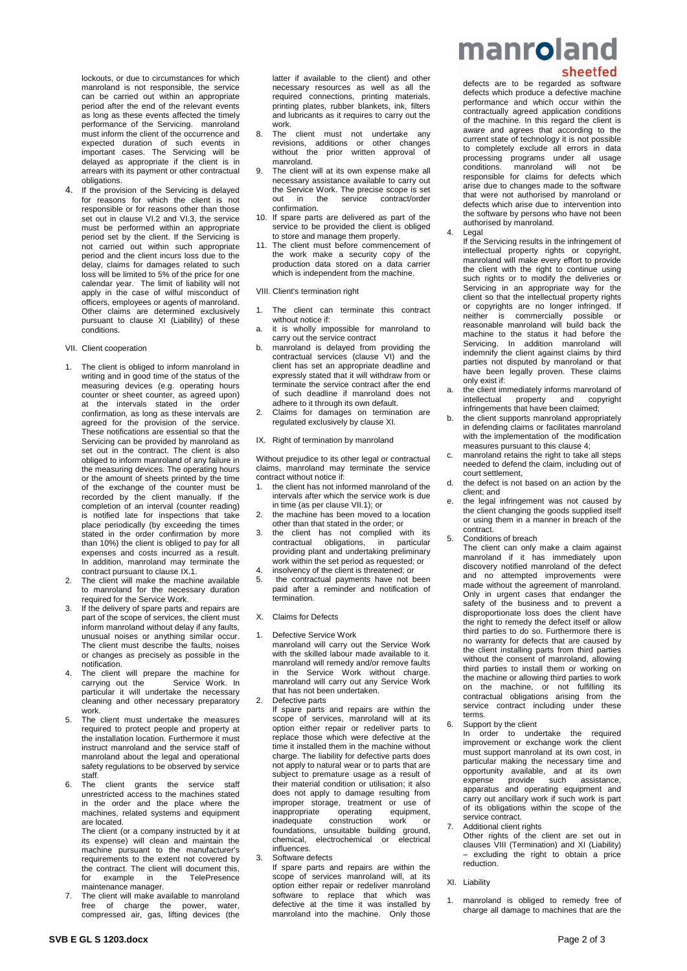lockouts, or due to circumstances for which manroland is not responsible, the service can be carried out within an appropriate period after the end of the relevant events as long as these events affected the timely performance of the Servicing. manroland must inform the client of the occurrence and expected duration of such events in important cases. The Servicing will be delayed as appropriate if the client is in arrears with its payment or other contractual obligations.

If the provision of the Servicing is delayed for reasons for which the client is not responsible or for reasons other than those set out in clause VI.2 and VI.3, the service must be performed within an appropriate period set by the client. If the Servicing is not carried out within such appropriate period and the client incurs loss due to the delay, claims for damages related to such loss will be limited to 5% of the price for one calendar year. The limit of liability will not apply in the case of wilful misconduct of officers, employees or agents of manroland. Other claims are determined exclusively pursuant to clause XI (Liability) of these conditions.

#### VII. Client cooperation

- 1. The client is obliged to inform manroland in writing and in good time of the status of the measuring devices (e.g. operating hours counter or sheet counter, as agreed upon) at the intervals stated in the order confirmation, as long as these intervals are agreed for the provision of the service. These notifications are essential so that the Servicing can be provided by manroland as set out in the contract. The client is also obliged to inform manroland of any failure in the measuring devices. The operating hours or the amount of sheets printed by the time of the exchange of the counter must be recorded by the client manually. If the completion of an interval (counter reading) is notified late for inspections that take place periodically (by exceeding the times stated in the order confirmation by more than 10%) the client is obliged to pay for all expenses and costs incurred as a result. In addition, manroland may terminate the contract pursuant to clause IX.1.
- 2. The client will make the machine available to manroland for the necessary duration required for the Service Work.
- If the delivery of spare parts and repairs are part of the scope of services, the client must inform manroland without delay if any faults, unusual noises or anything similar occur. The client must describe the faults, noises or changes as precisely as possible in the notification.
- The client will prepare the machine for carrying out the Service Work. In particular it will undertake the necessary cleaning and other necessary preparatory work.
- The client must undertake the measures required to protect people and property at the installation location. Furthermore it must instruct manroland and the service staff of manroland about the legal and operational safety regulations to be observed by service staff.
- 6. The client grants the service staff unrestricted access to the machines stated in the order and the place where the machines, related systems and equipment are located.

The client (or a company instructed by it at its expense) will clean and maintain the machine pursuant to the manufacturer's requirements to the extent not covered by the contract. The client will document this, for example in the TelePresence maintenance manager.

The client will make available to manroland free of charge the power, water, compressed air, gas, lifting devices (the

latter if available to the client) and other necessary resources as well as all the required connections, printing materials, printing plates, rubber blankets, ink, filters and lubricants as it requires to carry out the work.

- 8. The client must not undertake any revisions, additions or other changes without the prior written approval of manroland.
- The client will at its own expense make all necessary assistance available to carry out the Service Work. The precise scope is set out in the service contract/order confirmation.
- 10. If spare parts are delivered as part of the service to be provided the client is obliged to store and manage them properly.
- The client must before commencement of the work make a security copy of the production data stored on a data carrier which is independent from the machine.

#### VIII. Client's termination right

- 1. The client can terminate this contract without notice if:
- a. it is wholly impossible for manroland to carry out the service contract
- b. manroland is delayed from providing the contractual services (clause VI) and the client has set an appropriate deadline and expressly stated that it will withdraw from or terminate the service contract after the end of such deadline if manroland does not adhere to it through its own default.
- 2. Claims for damages on termination are regulated exclusively by clause XI.
- IX. Right of termination by manroland

Without prejudice to its other legal or contractual claims, manroland may terminate the service contract without notice if:

- the client has not informed manroland of the intervals after which the service work is due in time (as per clause VII.1); or
- 2. the machine has been moved to a location other than that stated in the order; or
- 3. the client has not complied with its contractual obligations, in particular providing plant and undertaking preliminary work within the set period as requested; or
- insolvency of the client is threatened; or
- 5. the contractual payments have not been paid after a reminder and notification of termination.
- X. Claims for Defects
- 1. Defective Service Work manroland will carry out the Service Work with the skilled labour made available to it. manroland will remedy and/or remove faults in the Service Work without charge. manroland will carry out any Service Work that has not been undertaken. 2. Defective parts
	- If spare parts and repairs are within the scope of services, manroland will at its option either repair or redeliver parts to replace those which were defective at the time it installed them in the machine without charge. The liability for defective parts does not apply to natural wear or to parts that are subject to premature usage as a result of their material condition or utilisation; it also does not apply to damage resulting from improper storage, treatment or use of<br>inappropriate operating equipment,  $in$ appropriate operating inadequate construction work foundations, unsuitable building ground, chemical, electrochemical or electrical influences.
- 3. Software defects If spare parts and repairs are within the scope of services manroland will, at its option either repair or redeliver manroland software to replace that which was defective at the time it was installed by manroland into the machine. Only those

manroland

### sheetfed

defects are to be regarded as software defects which produce a defective machine performance and which occur within the contractually agreed application conditions of the machine. In this regard the client is aware and agrees that according to the current state of technology it is not possible to completely exclude all errors in data processing programs under all usage conditions. manroland will not be responsible for claims for defects which arise due to changes made to the software that were not authorised by manroland or defects which arise due to intervention into the software by persons who have not been authorised by manroland.

Legal

If the Servicing results in the infringement of intellectual property rights or copyright, manroland will make every effort to provide the client with the right to continue using such rights or to modify the deliveries or Servicing in an appropriate way for the client so that the intellectual property rights or copyrights are no longer infringed. If neither is commercially possible or reasonable manroland will build back the machine to the status it had before the Servicing. In addition manroland will indemnify the client against claims by third parties not disputed by manroland or that have been legally proven. These claims only exist if:

- a. the client immediately informs manroland of intellectual property and copyright infringements that have been claimed;
- b. the client supports manroland appropriately in defending claims or facilitates manroland with the implementation of the modification measures pursuant to this clause 4;
- c. manroland retains the right to take all steps needed to defend the claim, including out of court settlement,
- d. the defect is not based on an action by the client; and
- the legal infringement was not caused by the client changing the goods supplied itself or using them in a manner in breach of the contract.
- 5. Conditions of breach

The client can only make a claim against manroland if it has immediately upon discovery notified manroland of the defect and no attempted improvements were made without the agreement of manroland. Only in urgent cases that endanger the safety of the business and to prevent a disproportionate loss does the client have the right to remedy the defect itself or allow third parties to do so. Furthermore there is no warranty for defects that are caused by the client installing parts from third parties without the consent of manroland, allowing third parties to install them or working on the machine or allowing third parties to work on the machine, or not fulfilling its contractual obligations arising from the service contract including under these terms.

Support by the client

In order to undertake the required improvement or exchange work the client must support manroland at its own cost, in particular making the necessary time and opportunity available, and at its own expense provide such assistance, apparatus and operating equipment and carry out ancillary work if such work is part of its obligations within the scope of the service contract.

7. Additional client rights Other rights of the client are set out in clauses VIII (Termination) and XI (Liability)  $-$  excluding the right to obtain a price reduction.

#### XI. Liability

1. manroland is obliged to remedy free of charge all damage to machines that are the